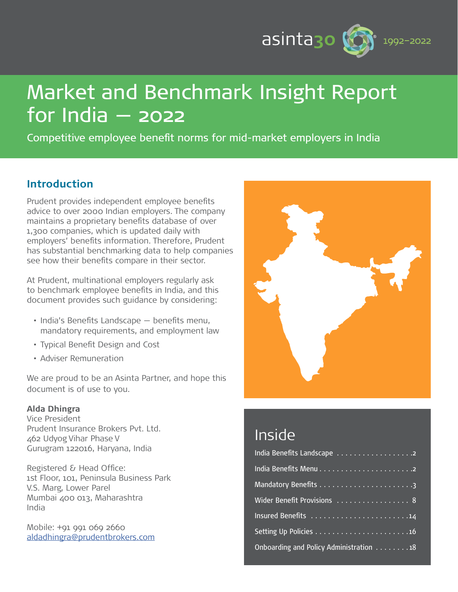

# Market and Benchmark Insight Report for India — 2022

Competitive employee benefit norms for mid-market employers in India

# **Introduction**

Prudent provides independent employee benefits advice to over 2000 Indian employers. The company maintains a proprietary benefits database of over 1,300 companies, which is updated daily with employers' benefits information. Therefore, Prudent has substantial benchmarking data to help companies see how their benefits compare in their sector.

At Prudent, multinational employers regularly ask to benchmark employee benefits in India, and this document provides such guidance by considering:

- India's Benefits Landscape benefits menu, mandatory requirements, and employment law
- Typical Benefit Design and Cost
- Adviser Remuneration

We are proud to be an Asinta Partner, and hope this document is of use to you.

#### **Alda Dhingra**

Vice President Prudent Insurance Brokers Pvt. Ltd. 462 Udyog Vihar Phase V Gurugram 122016, Haryana, India

Registered & Head Office: 1st Floor, 101, Peninsula Business Park V.S. Marg, Lower Parel Mumbai 400 013, Maharashtra India

Mobile: +91 991 069 2660 [aldadhingra@prudentbrokers.com](mailto:aldadhingra%40prudentbrokers.com?subject=)



# Inside

| Wider Benefit Provisions 8              |
|-----------------------------------------|
|                                         |
|                                         |
| Onboarding and Policy Administration 18 |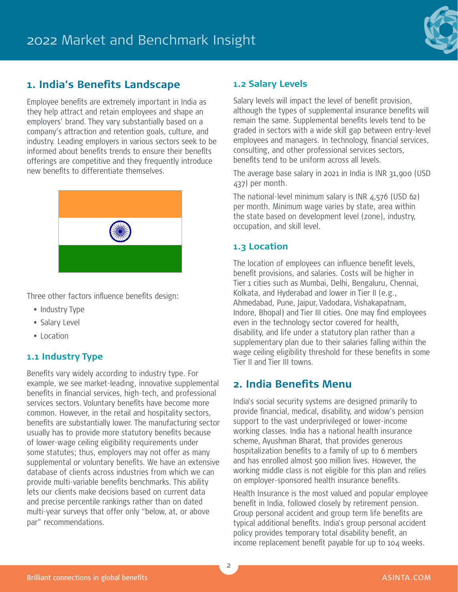

## **1. India's Benefits Landscape**

Employee benefits are extremely important in India as they help attract and retain employees and shape an employers' brand. They vary substantially based on a company's attraction and retention goals, culture, and industry. Leading employers in various sectors seek to be informed about benefits trends to ensure their benefits offerings are competitive and they frequently introduce new benefits to differentiate themselves.



Three other factors influence benefits design:

- Industry Type
- Salary Level
- Location

#### **1.1 Industry Type**

Benefits vary widely according to industry type. For example, we see market-leading, innovative supplemental benefits in financial services, high-tech, and professional services sectors. Voluntary benefits have become more common. However, in the retail and hospitality sectors, benefits are substantially lower. The manufacturing sector usually has to provide more statutory benefits because of lower-wage ceiling eligibility requirements under some statutes; thus, employers may not offer as many supplemental or voluntary benefits. We have an extensive database of clients across industries from which we can provide multi-variable benefits benchmarks. This ability lets our clients make decisions based on current data and precise percentile rankings rather than on dated multi-year surveys that offer only "below, at, or above par" recommendations.

#### **1.2 Salary Levels**

Salary levels will impact the level of benefit provision, although the types of supplemental insurance benefits will remain the same. Supplemental benefits levels tend to be graded in sectors with a wide skill gap between entry-level employees and managers. In technology, financial services, consulting, and other professional services sectors, benefits tend to be uniform across all levels.

The average base salary in 2021 in India is INR 31,900 (USD 437) per month.

The national-level minimum salary is INR  $4,576$  (USD 62) per month. Minimum wage varies by state, area within the state based on development level (zone), industry, occupation, and skill level.

### **1.3 Location**

The location of employees can influence benefit levels, benefit provisions, and salaries. Costs will be higher in Tier 1 cities such as Mumbai, Delhi, Bengaluru, Chennai, Kolkata, and Hyderabad and lower in Tier II (e.g., Ahmedabad, Pune, Jaipur, Vadodara, Vishakapatnam, Indore, Bhopal) and Tier III cities. One may find employees even in the technology sector covered for health, disability, and life under a statutory plan rather than a supplementary plan due to their salaries falling within the wage ceiling eligibility threshold for these benefits in some Tier II and Tier III towns.

## **2. India Benefits Menu**

India's social security systems are designed primarily to provide financial, medical, disability, and widow's pension support to the vast underprivileged or lower-income working classes. India has a national health insurance scheme, Ayushman Bharat, that provides generous hospitalization benefits to a family of up to 6 members and has enrolled almost 500 million lives. However, the working middle class is not eligible for this plan and relies on employer-sponsored health insurance benefits.

Health Insurance is the most valued and popular employee benefit in India, followed closely by retirement pension. Group personal accident and group term life benefits are typical additional benefits. India's group personal accident policy provides temporary total disability benefit, an income replacement benefit payable for up to 104 weeks.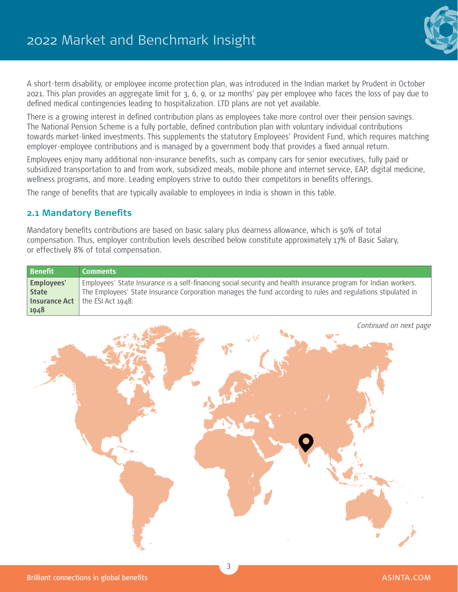

A short-term disability, or employee income protection plan, was introduced in the Indian market by Prudent in October 2021. This plan provides an aggregate limit for 3, 6, 9, or 12 months' pay per employee who faces the loss of pay due to defined medical contingencies leading to hospitalization. LTD plans are not yet available.

There is a growing interest in defined contribution plans as employees take more control over their pension savings. The National Pension Scheme is a fully portable, defined contribution plan with voluntary individual contributions towards market-linked investments. This supplements the statutory Employees' Provident Fund, which requires matching employer-employee contributions and is managed by a government body that provides a fixed annual return.

Employees enjoy many additional non-insurance benefits, such as company cars for senior executives, fully paid or subsidized transportation to and from work, subsidized meals, mobile phone and internet service, EAP, digital medicine, wellness programs, and more. Leading employers strive to outdo their competitors in benefits offerings.

The range of benefits that are typically available to employees in India is shown in this table.

#### **2.1 Mandatory Benefits**

Mandatory benefits contributions are based on basic salary plus dearness allowance, which is 50% of total compensation. Thus, employer contribution levels described below constitute approximately 17% of Basic Salary, or effectively 8% of total compensation.

| <b>Benefit</b>    | <b>Comments</b>                                                                                                 |
|-------------------|-----------------------------------------------------------------------------------------------------------------|
| <b>Employees'</b> | Employees' State Insurance is a self-financing social security and health insurance program for Indian workers. |
| <b>State</b>      | The Employees' State Insurance Corporation manages the fund according to rules and regulations stipulated in    |
|                   | <b>Insurance Act</b> $\vert$ the ESI Act 1948.                                                                  |
| 1948              |                                                                                                                 |

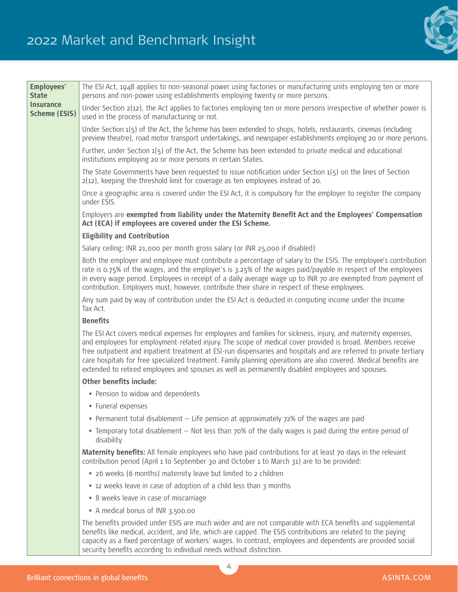# 2022 Market and Benchmark Insight



| <b>Employees'</b><br><b>State</b>        | The ESI Act, 1948 applies to non-seasonal power using factories or manufacturing units employing ten or more<br>persons and non-power using establishments employing twenty or more persons.                                                                                                                                                                                                                                                                                                                                                                             |
|------------------------------------------|--------------------------------------------------------------------------------------------------------------------------------------------------------------------------------------------------------------------------------------------------------------------------------------------------------------------------------------------------------------------------------------------------------------------------------------------------------------------------------------------------------------------------------------------------------------------------|
| <b>Insurance</b><br><b>Scheme (ESIS)</b> | Under Section $2(12)$ , the Act applies to factories employing ten or more persons irrespective of whether power is<br>used in the process of manufacturing or not.                                                                                                                                                                                                                                                                                                                                                                                                      |
|                                          | Under Section $1(5)$ of the Act, the Scheme has been extended to shops, hotels, restaurants, cinemas (including<br>preview theatre), road motor transport undertakings, and newspaper establishments employing 20 or more persons.                                                                                                                                                                                                                                                                                                                                       |
|                                          | Further, under Section 1(5) of the Act, the Scheme has been extended to private medical and educational<br>institutions employing 20 or more persons in certain States.                                                                                                                                                                                                                                                                                                                                                                                                  |
|                                          | The State Governments have been requested to issue notification under Section $1(5)$ on the lines of Section<br>$2(12)$ , keeping the threshold limit for coverage as ten employees instead of 20.                                                                                                                                                                                                                                                                                                                                                                       |
|                                          | Once a geographic area is covered under the ESI Act, it is compulsory for the employer to register the company<br>under ESIS.                                                                                                                                                                                                                                                                                                                                                                                                                                            |
|                                          | Employers are exempted from liability under the Maternity Benefit Act and the Employees' Compensation<br>Act (ECA) if employees are covered under the ESI Scheme.                                                                                                                                                                                                                                                                                                                                                                                                        |
|                                          | <b>Eligibility and Contribution</b>                                                                                                                                                                                                                                                                                                                                                                                                                                                                                                                                      |
|                                          | Salary ceiling: INR 21,000 per month gross salary (or INR 25,000 if disabled)                                                                                                                                                                                                                                                                                                                                                                                                                                                                                            |
|                                          | Both the employer and employee must contribute a percentage of salary to the ESIS. The employee's contribution<br>rate is 0.75% of the wages, and the employer's is 3.25% of the wages paid/payable in respect of the employees<br>in every wage period. Employees in receipt of a daily average wage up to INR 70 are exempted from payment of<br>contribution. Employers must, however, contribute their share in respect of these employees.                                                                                                                          |
|                                          | Any sum paid by way of contribution under the ESI Act is deducted in computing income under the Income<br>Tax Act.                                                                                                                                                                                                                                                                                                                                                                                                                                                       |
|                                          | <b>Benefits</b>                                                                                                                                                                                                                                                                                                                                                                                                                                                                                                                                                          |
|                                          | The ESI Act covers medical expenses for employees and families for sickness, injury, and maternity expenses,<br>and employees for employment-related injury. The scope of medical cover provided is broad. Members receive<br>free outpatient and inpatient treatment at ESI-run dispensaries and hospitals and are referred to private tertiary<br>care hospitals for free specialized treatment. Family planning operations are also covered. Medical benefits are<br>extended to retired employees and spouses as well as permanently disabled employees and spouses. |
|                                          | Other benefits include:                                                                                                                                                                                                                                                                                                                                                                                                                                                                                                                                                  |
|                                          | • Pension to widow and dependents                                                                                                                                                                                                                                                                                                                                                                                                                                                                                                                                        |
|                                          | • Funeral expenses                                                                                                                                                                                                                                                                                                                                                                                                                                                                                                                                                       |
|                                          | • Permanent total disablement – Life pension at approximately 72% of the wages are paid                                                                                                                                                                                                                                                                                                                                                                                                                                                                                  |
|                                          | • Temporary total disablement - Not less than 70% of the daily wages is paid during the entire period of<br>disability                                                                                                                                                                                                                                                                                                                                                                                                                                                   |
|                                          | Maternity benefits: All female employees who have paid contributions for at least 70 days in the relevant<br>contribution period (April 1 to September 30 and October 1 to March 31) are to be provided:                                                                                                                                                                                                                                                                                                                                                                 |
|                                          | • 26 weeks (6 months) maternity leave but limited to 2 children                                                                                                                                                                                                                                                                                                                                                                                                                                                                                                          |
|                                          | • 12 weeks leave in case of adoption of a child less than 3 months                                                                                                                                                                                                                                                                                                                                                                                                                                                                                                       |
|                                          | • 8 weeks leave in case of miscarriage                                                                                                                                                                                                                                                                                                                                                                                                                                                                                                                                   |
|                                          | • A medical bonus of INR 3,500.00                                                                                                                                                                                                                                                                                                                                                                                                                                                                                                                                        |
|                                          | The benefits provided under ESIS are much wider and are not comparable with ECA benefits and supplemental<br>benefits like medical, accident, and life, which are capped. The ESIS contributions are related to the paying<br>capacity as a fixed percentage of workers' wages. In contrast, employees and dependents are provided social<br>security benefits according to individual needs without distinction.                                                                                                                                                        |

4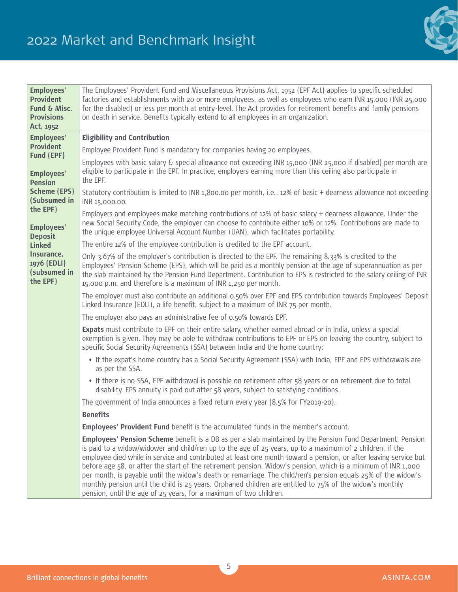

| <b>Employees'</b><br><b>Provident</b><br>Fund & Misc.<br><b>Provisions</b><br>Act, 1952 | The Employees' Provident Fund and Miscellaneous Provisions Act, 1952 (EPF Act) applies to specific scheduled<br>factories and establishments with 20 or more employees, as well as employees who earn INR 15,000 (INR 25,000<br>for the disabled) or less per month at entry-level. The Act provides for retirement benefits and family pensions<br>on death in service. Benefits typically extend to all employees in an organization.                                                                                                                                                                                                                                                                                                                                  |
|-----------------------------------------------------------------------------------------|--------------------------------------------------------------------------------------------------------------------------------------------------------------------------------------------------------------------------------------------------------------------------------------------------------------------------------------------------------------------------------------------------------------------------------------------------------------------------------------------------------------------------------------------------------------------------------------------------------------------------------------------------------------------------------------------------------------------------------------------------------------------------|
| <b>Employees'</b>                                                                       | <b>Eligibility and Contribution</b>                                                                                                                                                                                                                                                                                                                                                                                                                                                                                                                                                                                                                                                                                                                                      |
| <b>Provident</b>                                                                        | Employee Provident Fund is mandatory for companies having 20 employees.                                                                                                                                                                                                                                                                                                                                                                                                                                                                                                                                                                                                                                                                                                  |
| Fund (EPF)<br><b>Employees'</b><br><b>Pension</b>                                       | Employees with basic salary & special allowance not exceeding INR 15,000 (INR 25,000 if disabled) per month are<br>eligible to participate in the EPF. In practice, employers earning more than this ceiling also participate in<br>the EPF.                                                                                                                                                                                                                                                                                                                                                                                                                                                                                                                             |
| <b>Scheme (EPS)</b><br>(Subsumed in<br>the EPF)<br><b>Employees'</b><br><b>Deposit</b>  | Statutory contribution is limited to INR 1,800.00 per month, i.e., 12% of basic + dearness allowance not exceeding<br>INR 15,000.00.                                                                                                                                                                                                                                                                                                                                                                                                                                                                                                                                                                                                                                     |
|                                                                                         | Employers and employees make matching contributions of 12% of basic salary + dearness allowance. Under the<br>new Social Security Code, the employer can choose to contribute either 10% or 12%. Contributions are made to<br>the unique employee Universal Account Number (UAN), which facilitates portability.                                                                                                                                                                                                                                                                                                                                                                                                                                                         |
| <b>Linked</b>                                                                           | The entire 12% of the employee contribution is credited to the EPF account.                                                                                                                                                                                                                                                                                                                                                                                                                                                                                                                                                                                                                                                                                              |
| Insurance,<br>1976 (EDLI)<br>(subsumed in<br>the EPF)                                   | Only 3.67% of the employer's contribution is directed to the EPF. The remaining 8.33% is credited to the<br>Employees' Pension Scheme (EPS), which will be paid as a monthly pension at the age of superannuation as per<br>the slab maintained by the Pension Fund Department. Contribution to EPS is restricted to the salary ceiling of INR<br>15,000 p.m. and therefore is a maximum of INR 1,250 per month.                                                                                                                                                                                                                                                                                                                                                         |
|                                                                                         | The employer must also contribute an additional 0.50% over EPF and EPS contribution towards Employees' Deposit<br>Linked Insurance (EDLI), a life benefit, subject to a maximum of INR 75 per month.                                                                                                                                                                                                                                                                                                                                                                                                                                                                                                                                                                     |
|                                                                                         | The employer also pays an administrative fee of 0.50% towards EPF.                                                                                                                                                                                                                                                                                                                                                                                                                                                                                                                                                                                                                                                                                                       |
|                                                                                         | Expats must contribute to EPF on their entire salary, whether earned abroad or in India, unless a special<br>exemption is given. They may be able to withdraw contributions to EPF or EPS on leaving the country, subject to<br>specific Social Security Agreements (SSA) between India and the home country:                                                                                                                                                                                                                                                                                                                                                                                                                                                            |
|                                                                                         | • If the expat's home country has a Social Security Agreement (SSA) with India, EPF and EPS withdrawals are<br>as per the SSA.                                                                                                                                                                                                                                                                                                                                                                                                                                                                                                                                                                                                                                           |
|                                                                                         | • If there is no SSA, EPF withdrawal is possible on retirement after 58 years or on retirement due to total<br>disability. EPS annuity is paid out after 58 years, subject to satisfying conditions.                                                                                                                                                                                                                                                                                                                                                                                                                                                                                                                                                                     |
|                                                                                         | The government of India announces a fixed return every year (8.5% for FY2019-20).                                                                                                                                                                                                                                                                                                                                                                                                                                                                                                                                                                                                                                                                                        |
|                                                                                         | <b>Benefits</b>                                                                                                                                                                                                                                                                                                                                                                                                                                                                                                                                                                                                                                                                                                                                                          |
|                                                                                         | Employees' Provident Fund benefit is the accumulated funds in the member's account.                                                                                                                                                                                                                                                                                                                                                                                                                                                                                                                                                                                                                                                                                      |
|                                                                                         | <b>Employees' Pension Scheme</b> benefit is a DB as per a slab maintained by the Pension Fund Department. Pension<br>is paid to a widow/widower and child/ren up to the age of 25 years, up to a maximum of 2 children, if the<br>employee died while in service and contributed at least one month toward a pension, or after leaving service but<br>before age 58, or after the start of the retirement pension. Widow's pension, which is a minimum of INR 1,000<br>per month, is payable until the widow's death or remarriage. The child/ren's pension equals 25% of the widow's<br>monthly pension until the child is 25 years. Orphaned children are entitled to 75% of the widow's monthly<br>pension, until the age of 25 years, for a maximum of two children. |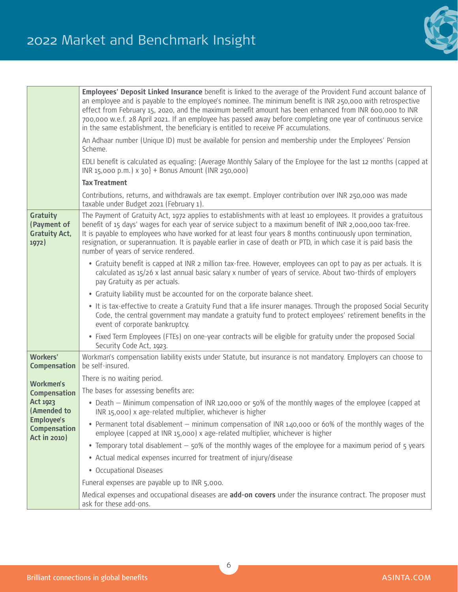

|                                                                                                   | Employees' Deposit Linked Insurance benefit is linked to the average of the Provident Fund account balance of<br>an employee and is payable to the employee's nominee. The minimum benefit is INR 250,000 with retrospective<br>effect from February 15, 2020, and the maximum benefit amount has been enhanced from INR 600,000 to INR<br>700,000 w.e.f. 28 April 2021. If an employee has passed away before completing one year of continuous service<br>in the same establishment, the beneficiary is entitled to receive PF accumulations. |
|---------------------------------------------------------------------------------------------------|-------------------------------------------------------------------------------------------------------------------------------------------------------------------------------------------------------------------------------------------------------------------------------------------------------------------------------------------------------------------------------------------------------------------------------------------------------------------------------------------------------------------------------------------------|
|                                                                                                   | An Adhaar number (Unique ID) must be available for pension and membership under the Employees' Pension<br>Scheme.                                                                                                                                                                                                                                                                                                                                                                                                                               |
|                                                                                                   | EDLI benefit is calculated as equaling: {Average Monthly Salary of the Employee for the last 12 months (capped at<br>$INR 15,000 p.m.$ ) x $30$ } + Bonus Amount (INR 250,000)                                                                                                                                                                                                                                                                                                                                                                  |
|                                                                                                   | <b>Tax Treatment</b>                                                                                                                                                                                                                                                                                                                                                                                                                                                                                                                            |
|                                                                                                   | Contributions, returns, and withdrawals are tax exempt. Employer contribution over INR 250,000 was made<br>taxable under Budget 2021 (February 1).                                                                                                                                                                                                                                                                                                                                                                                              |
| <b>Gratuity</b><br>(Payment of<br><b>Gratuity Act,</b><br>1972)                                   | The Payment of Gratuity Act, 1972 applies to establishments with at least 10 employees. It provides a gratuitous<br>benefit of 15 days' wages for each year of service subject to a maximum benefit of INR 2,000,000 tax-free.<br>It is payable to employees who have worked for at least four years 8 months continuously upon termination,<br>resignation, or superannuation. It is payable earlier in case of death or PTD, in which case it is paid basis the<br>number of years of service rendered.                                       |
|                                                                                                   | • Gratuity benefit is capped at INR 2 million tax-free. However, employees can opt to pay as per actuals. It is<br>calculated as 15/26 x last annual basic salary x number of years of service. About two-thirds of employers<br>pay Gratuity as per actuals.                                                                                                                                                                                                                                                                                   |
|                                                                                                   | • Gratuity liability must be accounted for on the corporate balance sheet.                                                                                                                                                                                                                                                                                                                                                                                                                                                                      |
|                                                                                                   | . It is tax-effective to create a Gratuity Fund that a life insurer manages. Through the proposed Social Security<br>Code, the central government may mandate a gratuity fund to protect employees' retirement benefits in the<br>event of corporate bankruptcy.                                                                                                                                                                                                                                                                                |
|                                                                                                   | • Fixed Term Employees (FTEs) on one-year contracts will be eligible for gratuity under the proposed Social<br>Security Code Act, 1923.                                                                                                                                                                                                                                                                                                                                                                                                         |
| Workers'<br><b>Compensation</b>                                                                   | Workman's compensation liability exists under Statute, but insurance is not mandatory. Employers can choose to<br>be self-insured.                                                                                                                                                                                                                                                                                                                                                                                                              |
| <b>Workmen's</b>                                                                                  | There is no waiting period.                                                                                                                                                                                                                                                                                                                                                                                                                                                                                                                     |
| <b>Compensation</b>                                                                               | The bases for assessing benefits are:                                                                                                                                                                                                                                                                                                                                                                                                                                                                                                           |
| <b>Act 1923</b><br>(Amended to<br><b>Employee's</b><br><b>Compensation</b><br><b>Act in 2010)</b> | • Death – Minimum compensation of INR 120,000 or 50% of the monthly wages of the employee (capped at<br>INR 15,000) x age-related multiplier, whichever is higher                                                                                                                                                                                                                                                                                                                                                                               |
|                                                                                                   | • Permanent total disablement – minimum compensation of INR 140,000 or 60% of the monthly wages of the<br>employee (capped at INR 15,000) x age-related multiplier, whichever is higher                                                                                                                                                                                                                                                                                                                                                         |
|                                                                                                   | • Temporary total disablement – 50% of the monthly wages of the employee for a maximum period of 5 years                                                                                                                                                                                                                                                                                                                                                                                                                                        |
|                                                                                                   | • Actual medical expenses incurred for treatment of injury/disease                                                                                                                                                                                                                                                                                                                                                                                                                                                                              |
|                                                                                                   | • Occupational Diseases                                                                                                                                                                                                                                                                                                                                                                                                                                                                                                                         |
|                                                                                                   | Funeral expenses are payable up to INR 5,000.                                                                                                                                                                                                                                                                                                                                                                                                                                                                                                   |
|                                                                                                   | Medical expenses and occupational diseases are add-on covers under the insurance contract. The proposer must<br>ask for these add-ons.                                                                                                                                                                                                                                                                                                                                                                                                          |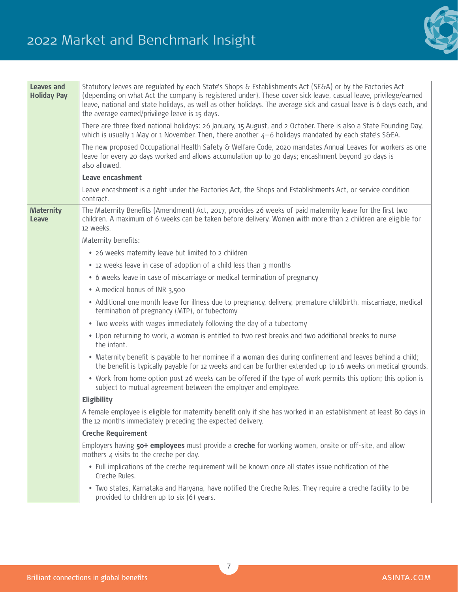

| <b>Leaves and</b><br><b>Holiday Pay</b> | Statutory leaves are regulated by each State's Shops & Establishments Act (SE&A) or by the Factories Act<br>(depending on what Act the company is registered under). These cover sick leave, casual leave, privilege/earned<br>leave, national and state holidays, as well as other holidays. The average sick and casual leave is 6 days each, and<br>the average earned/privilege leave is 15 days. |
|-----------------------------------------|-------------------------------------------------------------------------------------------------------------------------------------------------------------------------------------------------------------------------------------------------------------------------------------------------------------------------------------------------------------------------------------------------------|
|                                         | There are three fixed national holidays: 26 January, 15 August, and 2 October. There is also a State Founding Day,<br>which is usually 1 May or 1 November. Then, there another 4-6 holidays mandated by each state's S&EA.                                                                                                                                                                           |
|                                         | The new proposed Occupational Health Safety & Welfare Code, 2020 mandates Annual Leaves for workers as one<br>leave for every 20 days worked and allows accumulation up to 30 days; encashment beyond 30 days is<br>also allowed.                                                                                                                                                                     |
|                                         | Leave encashment                                                                                                                                                                                                                                                                                                                                                                                      |
|                                         | Leave encashment is a right under the Factories Act, the Shops and Establishments Act, or service condition<br>contract.                                                                                                                                                                                                                                                                              |
| <b>Maternity</b><br>Leave               | The Maternity Benefits (Amendment) Act, 2017, provides 26 weeks of paid maternity leave for the first two<br>children. A maximum of 6 weeks can be taken before delivery. Women with more than 2 children are eligible for<br>12 weeks.                                                                                                                                                               |
|                                         | Maternity benefits:                                                                                                                                                                                                                                                                                                                                                                                   |
|                                         | • 26 weeks maternity leave but limited to 2 children                                                                                                                                                                                                                                                                                                                                                  |
|                                         | • 12 weeks leave in case of adoption of a child less than 3 months                                                                                                                                                                                                                                                                                                                                    |
|                                         | • 6 weeks leave in case of miscarriage or medical termination of pregnancy                                                                                                                                                                                                                                                                                                                            |
|                                         | • A medical bonus of INR 3,500                                                                                                                                                                                                                                                                                                                                                                        |
|                                         | • Additional one month leave for illness due to pregnancy, delivery, premature childbirth, miscarriage, medical<br>termination of pregnancy (MTP), or tubectomy                                                                                                                                                                                                                                       |
|                                         | • Two weeks with wages immediately following the day of a tubectomy                                                                                                                                                                                                                                                                                                                                   |
|                                         | . Upon returning to work, a woman is entitled to two rest breaks and two additional breaks to nurse<br>the infant.                                                                                                                                                                                                                                                                                    |
|                                         | • Maternity benefit is payable to her nominee if a woman dies during confinement and leaves behind a child;<br>the benefit is typically payable for 12 weeks and can be further extended up to 16 weeks on medical grounds.                                                                                                                                                                           |
|                                         | • Work from home option post 26 weeks can be offered if the type of work permits this option; this option is<br>subject to mutual agreement between the employer and employee.                                                                                                                                                                                                                        |
|                                         | Eligibility                                                                                                                                                                                                                                                                                                                                                                                           |
|                                         | A female employee is eligible for maternity benefit only if she has worked in an establishment at least 80 days in<br>the 12 months immediately preceding the expected delivery.                                                                                                                                                                                                                      |
|                                         | <b>Creche Requirement</b>                                                                                                                                                                                                                                                                                                                                                                             |
|                                         | Employers having 50+ employees must provide a creche for working women, onsite or off-site, and allow<br>mothers 4 visits to the creche per day.                                                                                                                                                                                                                                                      |
|                                         | • Full implications of the creche requirement will be known once all states issue notification of the<br>Creche Rules.                                                                                                                                                                                                                                                                                |
|                                         | . Two states, Karnataka and Haryana, have notified the Creche Rules. They require a creche facility to be<br>provided to children up to six (6) years.                                                                                                                                                                                                                                                |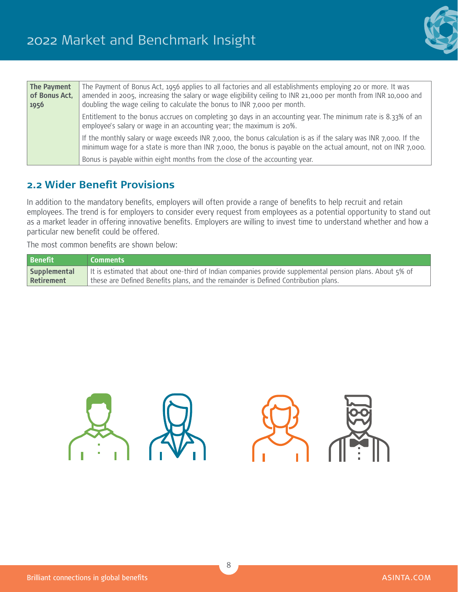

| The Payment<br>of Bonus Act,<br>1956 | The Payment of Bonus Act, 1956 applies to all factories and all establishments employing 20 or more. It was<br>amended in 2005, increasing the salary or wage eligibility ceiling to INR 21,000 per month from INR 10,000 and<br>doubling the wage ceiling to calculate the bonus to INR 7,000 per month. |
|--------------------------------------|-----------------------------------------------------------------------------------------------------------------------------------------------------------------------------------------------------------------------------------------------------------------------------------------------------------|
|                                      | Entitlement to the bonus accrues on completing 30 days in an accounting year. The minimum rate is 8.33% of an<br>employee's salary or wage in an accounting year; the maximum is 20%.                                                                                                                     |
|                                      | If the monthly salary or wage exceeds INR 7,000, the bonus calculation is as if the salary was INR 7,000. If the<br>minimum wage for a state is more than INR 7,000, the bonus is payable on the actual amount, not on INR 7,000.                                                                         |
|                                      | Bonus is payable within eight months from the close of the accounting year.                                                                                                                                                                                                                               |

## **2.2 Wider Benefit Provisions**

In addition to the mandatory benefits, employers will often provide a range of benefits to help recruit and retain employees. The trend is for employers to consider every request from employees as a potential opportunity to stand out as a market leader in offering innovative benefits. Employers are willing to invest time to understand whether and how a particular new benefit could be offered.

The most common benefits are shown below:

| <b>Benefit</b> | Comments                                                                                                 |
|----------------|----------------------------------------------------------------------------------------------------------|
| Supplemental   | It is estimated that about one-third of Indian companies provide supplemental pension plans. About 5% of |
| Retirement     | these are Defined Benefits plans, and the remainder is Defined Contribution plans.                       |

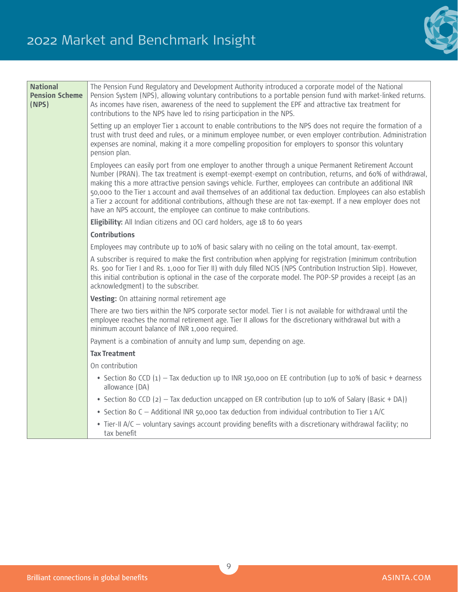

| <b>National</b><br><b>Pension Scheme</b><br>(NPS) | The Pension Fund Regulatory and Development Authority introduced a corporate model of the National<br>Pension System (NPS), allowing voluntary contributions to a portable pension fund with market-linked returns.<br>As incomes have risen, awareness of the need to supplement the EPF and attractive tax treatment for<br>contributions to the NPS have led to rising participation in the NPS.                                                                                                                                                                                                                                        |
|---------------------------------------------------|--------------------------------------------------------------------------------------------------------------------------------------------------------------------------------------------------------------------------------------------------------------------------------------------------------------------------------------------------------------------------------------------------------------------------------------------------------------------------------------------------------------------------------------------------------------------------------------------------------------------------------------------|
|                                                   | Setting up an employer Tier 1 account to enable contributions to the NPS does not require the formation of a<br>trust with trust deed and rules, or a minimum employee number, or even employer contribution. Administration<br>expenses are nominal, making it a more compelling proposition for employers to sponsor this voluntary<br>pension plan.                                                                                                                                                                                                                                                                                     |
|                                                   | Employees can easily port from one employer to another through a unique Permanent Retirement Account<br>Number (PRAN). The tax treatment is exempt-exempt-exempt on contribution, returns, and 60% of withdrawal,<br>making this a more attractive pension savings vehicle. Further, employees can contribute an additional INR<br>50,000 to the Tier 1 account and avail themselves of an additional tax deduction. Employees can also establish<br>a Tier 2 account for additional contributions, although these are not tax-exempt. If a new employer does not<br>have an NPS account, the employee can continue to make contributions. |
|                                                   | Eligibility: All Indian citizens and OCI card holders, age 18 to 60 years                                                                                                                                                                                                                                                                                                                                                                                                                                                                                                                                                                  |
|                                                   | <b>Contributions</b>                                                                                                                                                                                                                                                                                                                                                                                                                                                                                                                                                                                                                       |
|                                                   | Employees may contribute up to 10% of basic salary with no ceiling on the total amount, tax-exempt.                                                                                                                                                                                                                                                                                                                                                                                                                                                                                                                                        |
|                                                   | A subscriber is required to make the first contribution when applying for registration (minimum contribution<br>Rs. 500 for Tier I and Rs. 1,000 for Tier II) with duly filled NCIS (NPS Contribution Instruction Slip). However,<br>this initial contribution is optional in the case of the corporate model. The POP-SP provides a receipt (as an<br>acknowledgment) to the subscriber.                                                                                                                                                                                                                                                  |
|                                                   | Vesting: On attaining normal retirement age                                                                                                                                                                                                                                                                                                                                                                                                                                                                                                                                                                                                |
|                                                   | There are two tiers within the NPS corporate sector model. Tier I is not available for withdrawal until the<br>employee reaches the normal retirement age. Tier II allows for the discretionary withdrawal but with a<br>minimum account balance of INR 1,000 required.                                                                                                                                                                                                                                                                                                                                                                    |
|                                                   | Payment is a combination of annuity and lump sum, depending on age.                                                                                                                                                                                                                                                                                                                                                                                                                                                                                                                                                                        |
|                                                   | <b>Tax Treatment</b>                                                                                                                                                                                                                                                                                                                                                                                                                                                                                                                                                                                                                       |
|                                                   | On contribution                                                                                                                                                                                                                                                                                                                                                                                                                                                                                                                                                                                                                            |
|                                                   | • Section 8o CCD $(1)$ – Tax deduction up to INR 150,000 on EE contribution (up to 10% of basic + dearness<br>allowance (DA)                                                                                                                                                                                                                                                                                                                                                                                                                                                                                                               |
|                                                   | • Section 8o CCD (2) - Tax deduction uncapped on ER contribution (up to 10% of Salary (Basic + DA))                                                                                                                                                                                                                                                                                                                                                                                                                                                                                                                                        |
|                                                   | • Section 8o C - Additional INR 50,000 tax deduction from individual contribution to Tier 1 A/C                                                                                                                                                                                                                                                                                                                                                                                                                                                                                                                                            |
|                                                   | • Tier-II A/C – voluntary savings account providing benefits with a discretionary withdrawal facility; no<br>tax benefit                                                                                                                                                                                                                                                                                                                                                                                                                                                                                                                   |

9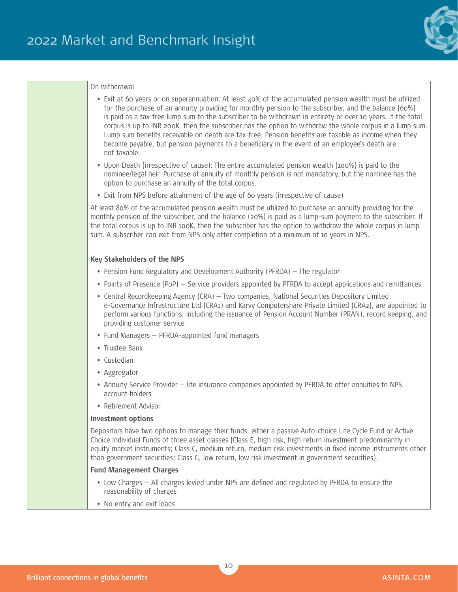

#### On withdrawal

- Exit at 60 years or on superannuation: At least 40% of the accumulated pension wealth must be utilized for the purchase of an annuity providing for monthly pension to the subscriber, and the balance (60%) is paid as a tax-free lump sum to the subscriber to be withdrawn in entirety or over 10 years. If the total corpus is up to INR 200K, then the subscriber has the option to withdraw the whole corpus in a lump sum. Lump sum benefits receivable on death are tax-free. Pension benefits are taxable as income when they become payable, but pension payments to a beneficiary in the event of an employee's death are not taxable.
- Upon Death (irrespective of cause): The entire accumulated pension wealth (100%) is paid to the nominee/legal heir. Purchase of annuity of monthly pension is not mandatory, but the nominee has the option to purchase an annuity of the total corpus.
- Exit from NPS before attainment of the age of 60 years (irrespective of cause)

At least 80% of the accumulated pension wealth must be utilized to purchase an annuity providing for the monthly pension of the subscriber, and the balance (20%) is paid as a lump-sum payment to the subscriber. If the total corpus is up to INR 100K, then the subscriber has the option to withdraw the whole corpus in lump sum. A subscriber can exit from NPS only after completion of a minimum of 10 years in NPS.

#### **Key Stakeholders of the NPS**

- Pension Fund Regulatory and Development Authority (PFRDA) The regulator
- Points of Presence (PoP) Service providers appointed by PFRDA to accept applications and remittances
- Central Recordkeeping Agency (CRA) Two companies, National Securities Depository Limited e-Governance Infrastructure Ltd (CRA1) and Karvy Computershare Private Limited (CRA2), are appointed to perform various functions, including the issuance of Pension Account Number (PRAN), record keeping, and providing customer service
- Fund Managers PFRDA-appointed fund managers
- Trustee Bank
- Custodian
- Aggregator
- Annuity Service Provider life insurance companies appointed by PFRDA to offer annuities to NPS account holders
- Retirement Advisor

#### **Investment options**

Depositors have two options to manage their funds, either a passive Auto-choice Life Cycle Fund or Active Choice Individual Funds of three asset classes (Class E, high risk, high return investment predominantly in equity market instruments; Class C, medium return, medium risk investments in fixed income instruments other than government securities; Class G, low return, low risk investment in government securities).

#### **Fund Management Charges**

- Low Charges All charges levied under NPS are defined and regulated by PFRDA to ensure the reasonability of charges
- No entry and exit loads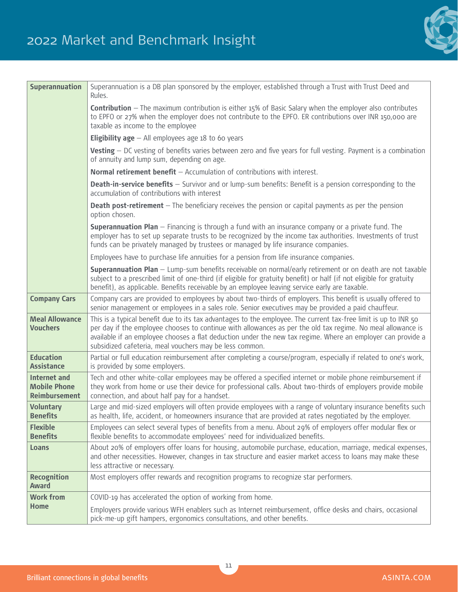

| <b>Superannuation</b>                                              | Superannuation is a DB plan sponsored by the employer, established through a Trust with Trust Deed and<br>Rules.                                                                                                                                                                                                                                                                                         |
|--------------------------------------------------------------------|----------------------------------------------------------------------------------------------------------------------------------------------------------------------------------------------------------------------------------------------------------------------------------------------------------------------------------------------------------------------------------------------------------|
|                                                                    | <b>Contribution</b> - The maximum contribution is either 15% of Basic Salary when the employer also contributes<br>to EPFO or 27% when the employer does not contribute to the EPFO. ER contributions over INR 150,000 are<br>taxable as income to the employee                                                                                                                                          |
|                                                                    | <b>Eligibility age</b> $-$ All employees age 18 to 60 years                                                                                                                                                                                                                                                                                                                                              |
|                                                                    | Vesting - DC vesting of benefits varies between zero and five years for full vesting. Payment is a combination<br>of annuity and lump sum, depending on age.                                                                                                                                                                                                                                             |
|                                                                    | Normal retirement benefit $-$ Accumulation of contributions with interest.                                                                                                                                                                                                                                                                                                                               |
|                                                                    | <b>Death-in-service benefits</b> - Survivor and or lump-sum benefits: Benefit is a pension corresponding to the<br>accumulation of contributions with interest                                                                                                                                                                                                                                           |
|                                                                    | <b>Death post-retirement</b> - The beneficiary receives the pension or capital payments as per the pension<br>option chosen.                                                                                                                                                                                                                                                                             |
|                                                                    | Superannuation Plan - Financing is through a fund with an insurance company or a private fund. The<br>employer has to set up separate trusts to be recognized by the income tax authorities. Investments of trust<br>funds can be privately managed by trustees or managed by life insurance companies.                                                                                                  |
|                                                                    | Employees have to purchase life annuities for a pension from life insurance companies.                                                                                                                                                                                                                                                                                                                   |
|                                                                    | Superannuation Plan - Lump-sum benefits receivable on normal/early retirement or on death are not taxable<br>subject to a prescribed limit of one-third (if eligible for gratuity benefit) or half (if not eligible for gratuity<br>benefit), as applicable. Benefits receivable by an employee leaving service early are taxable.                                                                       |
| <b>Company Cars</b>                                                | Company cars are provided to employees by about two-thirds of employers. This benefit is usually offered to<br>senior management or employees in a sales role. Senior executives may be provided a paid chauffeur.                                                                                                                                                                                       |
| <b>Meal Allowance</b><br><b>Vouchers</b>                           | This is a typical benefit due to its tax advantages to the employee. The current tax-free limit is up to INR 50<br>per day if the employee chooses to continue with allowances as per the old tax regime. No meal allowance is<br>available if an employee chooses a flat deduction under the new tax regime. Where an employer can provide a<br>subsidized cafeteria, meal vouchers may be less common. |
| <b>Education</b><br><b>Assistance</b>                              | Partial or full education reimbursement after completing a course/program, especially if related to one's work,<br>is provided by some employers.                                                                                                                                                                                                                                                        |
| <b>Internet and</b><br><b>Mobile Phone</b><br><b>Reimbursement</b> | Tech and other white-collar employees may be offered a specified internet or mobile phone reimbursement if<br>they work from home or use their device for professional calls. About two-thirds of employers provide mobile<br>connection, and about half pay for a handset.                                                                                                                              |
| <b>Voluntary</b><br><b>Benefits</b>                                | Large and mid-sized employers will often provide employees with a range of voluntary insurance benefits such<br>as health, life, accident, or homeowners insurance that are provided at rates negotiated by the employer.                                                                                                                                                                                |
| <b>Flexible</b><br><b>Benefits</b>                                 | Employees can select several types of benefits from a menu. About 29% of employers offer modular flex or<br>flexible benefits to accommodate employees' need for individualized benefits.                                                                                                                                                                                                                |
| Loans                                                              | About 20% of employers offer loans for housing, automobile purchase, education, marriage, medical expenses,<br>and other necessities. However, changes in tax structure and easier market access to loans may make these<br>less attractive or necessary.                                                                                                                                                |
| <b>Recognition</b><br><b>Award</b>                                 | Most employers offer rewards and recognition programs to recognize star performers.                                                                                                                                                                                                                                                                                                                      |
| <b>Work from</b>                                                   | COVID-19 has accelerated the option of working from home.                                                                                                                                                                                                                                                                                                                                                |
| <b>Home</b>                                                        | Employers provide various WFH enablers such as Internet reimbursement, office desks and chairs, occasional<br>pick-me-up gift hampers, ergonomics consultations, and other benefits.                                                                                                                                                                                                                     |

11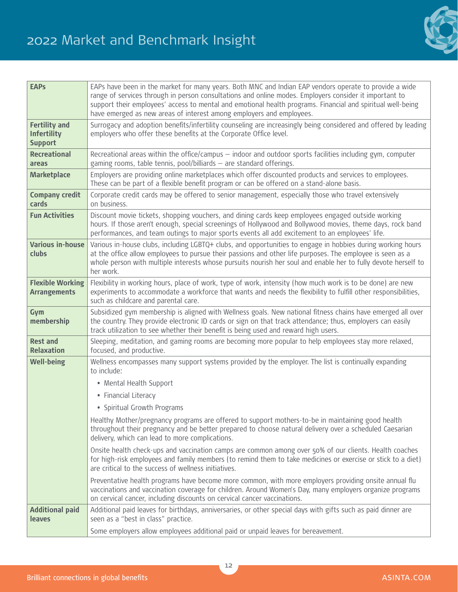

| <b>EAPs</b>                                                  | EAPs have been in the market for many years. Both MNC and Indian EAP vendors operate to provide a wide<br>range of services through in person consultations and online modes. Employers consider it important to<br>support their employees' access to mental and emotional health programs. Financial and spiritual well-being<br>have emerged as new areas of interest among employers and employees. |
|--------------------------------------------------------------|---------------------------------------------------------------------------------------------------------------------------------------------------------------------------------------------------------------------------------------------------------------------------------------------------------------------------------------------------------------------------------------------------------|
| <b>Fertility and</b><br><b>Infertility</b><br><b>Support</b> | Surrogacy and adoption benefits/infertility counseling are increasingly being considered and offered by leading<br>employers who offer these benefits at the Corporate Office level.                                                                                                                                                                                                                    |
| <b>Recreational</b><br>areas                                 | Recreational areas within the office/campus - indoor and outdoor sports facilities including gym, computer<br>gaming rooms, table tennis, pool/billiards - are standard offerings.                                                                                                                                                                                                                      |
| <b>Marketplace</b>                                           | Employers are providing online marketplaces which offer discounted products and services to employees.<br>These can be part of a flexible benefit program or can be offered on a stand-alone basis.                                                                                                                                                                                                     |
| <b>Company credit</b><br>cards                               | Corporate credit cards may be offered to senior management, especially those who travel extensively<br>on business.                                                                                                                                                                                                                                                                                     |
| <b>Fun Activities</b>                                        | Discount movie tickets, shopping vouchers, and dining cards keep employees engaged outside working<br>hours. If those aren't enough, special screenings of Hollywood and Bollywood movies, theme days, rock band<br>performances, and team outings to major sports events all add excitement to an employees' life.                                                                                     |
| <b>Various in-house</b><br>clubs                             | Various in-house clubs, including LGBTQ+ clubs, and opportunities to engage in hobbies during working hours<br>at the office allow employees to pursue their passions and other life purposes. The employee is seen as a<br>whole person with multiple interests whose pursuits nourish her soul and enable her to fully devote herself to<br>her work.                                                 |
| <b>Flexible Working</b><br><b>Arrangements</b>               | Flexibility in working hours, place of work, type of work, intensity (how much work is to be done) are new<br>experiments to accommodate a workforce that wants and needs the flexibility to fulfill other responsibilities,<br>such as childcare and parental care.                                                                                                                                    |
| Gym<br>membership                                            | Subsidized gym membership is aligned with Wellness goals. New national fitness chains have emerged all over<br>the country. They provide electronic ID cards or sign on that track attendance; thus, employers can easily<br>track utilization to see whether their benefit is being used and reward high users.                                                                                        |
| <b>Rest and</b><br><b>Relaxation</b>                         | Sleeping, meditation, and gaming rooms are becoming more popular to help employees stay more relaxed,<br>focused, and productive.                                                                                                                                                                                                                                                                       |
| <b>Well-being</b>                                            | Wellness encompasses many support systems provided by the employer. The list is continually expanding<br>to include:                                                                                                                                                                                                                                                                                    |
|                                                              | • Mental Health Support                                                                                                                                                                                                                                                                                                                                                                                 |
|                                                              | • Financial Literacy                                                                                                                                                                                                                                                                                                                                                                                    |
|                                                              | • Spiritual Growth Programs                                                                                                                                                                                                                                                                                                                                                                             |
|                                                              | Healthy Mother/pregnancy programs are offered to support mothers-to-be in maintaining good health<br>throughout their pregnancy and be better prepared to choose natural delivery over a scheduled Caesarian<br>delivery, which can lead to more complications.                                                                                                                                         |
|                                                              | Onsite health check-ups and vaccination camps are common among over 50% of our clients. Health coaches<br>for high-risk employees and family members (to remind them to take medicines or exercise or stick to a diet)<br>are critical to the success of wellness initiatives.                                                                                                                          |
|                                                              | Preventative health programs have become more common, with more employers providing onsite annual flu<br>vaccinations and vaccination coverage for children. Around Women's Day, many employers organize programs<br>on cervical cancer, including discounts on cervical cancer vaccinations.                                                                                                           |
| <b>Additional paid</b><br><b>leaves</b>                      | Additional paid leaves for birthdays, anniversaries, or other special days with gifts such as paid dinner are<br>seen as a "best in class" practice.                                                                                                                                                                                                                                                    |
|                                                              | Some employers allow employees additional paid or unpaid leaves for bereavement.                                                                                                                                                                                                                                                                                                                        |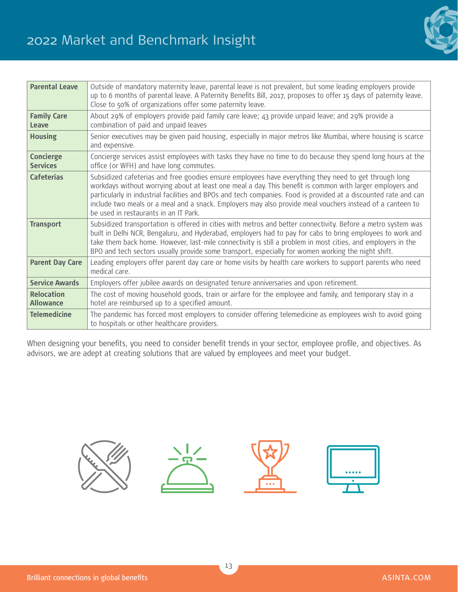# 2022 Market and Benchmark Insight



| <b>Parental Leave</b>                 | Outside of mandatory maternity leave, parental leave is not prevalent, but some leading employers provide<br>up to 6 months of parental leave. A Paternity Benefits Bill, 2017, proposes to offer 15 days of paternity leave.<br>Close to 50% of organizations offer some paternity leave.                                                                                                                                                                                                   |
|---------------------------------------|----------------------------------------------------------------------------------------------------------------------------------------------------------------------------------------------------------------------------------------------------------------------------------------------------------------------------------------------------------------------------------------------------------------------------------------------------------------------------------------------|
| <b>Family Care</b><br>Leave           | About 29% of employers provide paid family care leave; 43 provide unpaid leave; and 29% provide a<br>combination of paid and unpaid leaves                                                                                                                                                                                                                                                                                                                                                   |
| <b>Housing</b>                        | Senior executives may be given paid housing, especially in major metros like Mumbai, where housing is scarce<br>and expensive.                                                                                                                                                                                                                                                                                                                                                               |
| <b>Concierge</b><br><b>Services</b>   | Concierge services assist employees with tasks they have no time to do because they spend long hours at the<br>office (or WFH) and have long commutes.                                                                                                                                                                                                                                                                                                                                       |
| <b>Cafeterias</b>                     | Subsidized cafeterias and free goodies ensure employees have everything they need to get through long<br>workdays without worrying about at least one meal a day. This benefit is common with larger employers and<br>particularly in industrial facilities and BPOs and tech companies. Food is provided at a discounted rate and can<br>include two meals or a meal and a snack. Employers may also provide meal vouchers instead of a canteen to<br>be used in restaurants in an IT Park. |
| <b>Transport</b>                      | Subsidized transportation is offered in cities with metros and better connectivity. Before a metro system was<br>built in Delhi NCR, Bengaluru, and Hyderabad, employers had to pay for cabs to bring employees to work and<br>take them back home. However, last-mile connectivity is still a problem in most cities, and employers in the<br>BPO and tech sectors usually provide some transport, especially for women working the night shift.                                            |
| <b>Parent Day Care</b>                | Leading employers offer parent day care or home visits by health care workers to support parents who need<br>medical care.                                                                                                                                                                                                                                                                                                                                                                   |
| <b>Service Awards</b>                 | Employers offer jubilee awards on designated tenure anniversaries and upon retirement.                                                                                                                                                                                                                                                                                                                                                                                                       |
| <b>Relocation</b><br><b>Allowance</b> | The cost of moving household goods, train or airfare for the employee and family, and temporary stay in a<br>hotel are reimbursed up to a specified amount.                                                                                                                                                                                                                                                                                                                                  |
| <b>Telemedicine</b>                   | The pandemic has forced most employers to consider offering telemedicine as employees wish to avoid going<br>to hospitals or other healthcare providers.                                                                                                                                                                                                                                                                                                                                     |

When designing your benefits, you need to consider benefit trends in your sector, employee profile, and objectives. As advisors, we are adept at creating solutions that are valued by employees and meet your budget.

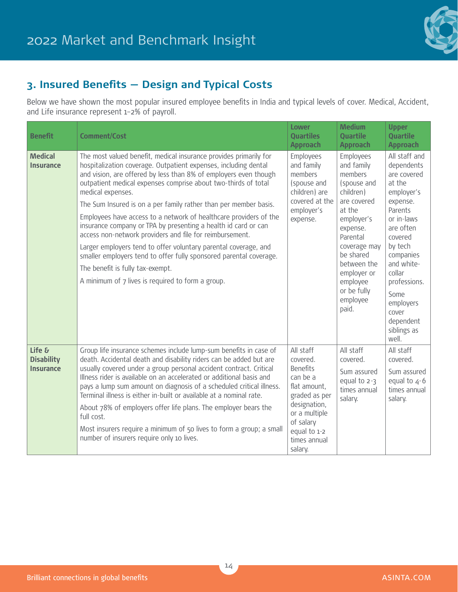

# **3. Insured Benefits — Design and Typical Costs**

Below we have shown the most popular insured employee benefits in India and typical levels of cover. Medical, Accident, and Life insurance represent 1–2% of payroll.

| <b>Benefit</b>                                  | <b>Comment/Cost</b>                                                                                                                                                                                                                                                                                                                                                                                                                                                                                                                                                                                                                                                                                                                                                                                      | Lower<br><b>Quartiles</b><br><b>Approach</b>                                                                                                                                   | <b>Medium</b><br><b>Quartile</b><br><b>Approach</b>                                                                                                                                                                                      | <b>Upper</b><br><b>Quartile</b><br><b>Approach</b>                                                                                                                                                                                                                 |
|-------------------------------------------------|----------------------------------------------------------------------------------------------------------------------------------------------------------------------------------------------------------------------------------------------------------------------------------------------------------------------------------------------------------------------------------------------------------------------------------------------------------------------------------------------------------------------------------------------------------------------------------------------------------------------------------------------------------------------------------------------------------------------------------------------------------------------------------------------------------|--------------------------------------------------------------------------------------------------------------------------------------------------------------------------------|------------------------------------------------------------------------------------------------------------------------------------------------------------------------------------------------------------------------------------------|--------------------------------------------------------------------------------------------------------------------------------------------------------------------------------------------------------------------------------------------------------------------|
| <b>Medical</b><br><b>Insurance</b>              | The most valued benefit, medical insurance provides primarily for<br>hospitalization coverage. Outpatient expenses, including dental<br>and vision, are offered by less than 8% of employers even though<br>outpatient medical expenses comprise about two-thirds of total<br>medical expenses.<br>The Sum Insured is on a per family rather than per member basis.<br>Employees have access to a network of healthcare providers of the<br>insurance company or TPA by presenting a health id card or can<br>access non-network providers and file for reimbursement.<br>Larger employers tend to offer voluntary parental coverage, and<br>smaller employers tend to offer fully sponsored parental coverage.<br>The benefit is fully tax-exempt.<br>A minimum of 7 lives is required to form a group. | Employees<br>and family<br>members<br>(spouse and<br>children) are<br>covered at the<br>employer's<br>expense.                                                                 | Employees<br>and family<br>members<br>(spouse and<br>children)<br>are covered<br>at the<br>employer's<br>expense.<br>Parental<br>coverage may<br>be shared<br>between the<br>employer or<br>employee<br>or be fully<br>employee<br>paid. | All staff and<br>dependents<br>are covered<br>at the<br>employer's<br>expense.<br>Parents<br>or in-laws<br>are often<br>covered<br>by tech<br>companies<br>and white-<br>collar<br>professions.<br>Some<br>employers<br>cover<br>dependent<br>siblings as<br>well. |
| Life &<br><b>Disability</b><br><b>Insurance</b> | Group life insurance schemes include lump-sum benefits in case of<br>death. Accidental death and disability riders can be added but are<br>usually covered under a group personal accident contract. Critical<br>Illness rider is available on an accelerated or additional basis and<br>pays a lump sum amount on diagnosis of a scheduled critical illness.<br>Terminal illness is either in-built or available at a nominal rate.<br>About 78% of employers offer life plans. The employer bears the<br>full cost.<br>Most insurers require a minimum of 50 lives to form a group; a small<br>number of insurers require only 10 lives.                                                                                                                                                               | All staff<br>covered.<br><b>Benefits</b><br>can be a<br>flat amount,<br>graded as per<br>designation,<br>or a multiple<br>of salary<br>equal to 1-2<br>times annual<br>salary. | All staff<br>covered.<br>Sum assured<br>equal to $2-3$<br>times annual<br>salary.                                                                                                                                                        | All staff<br>covered.<br>Sum assured<br>equal to $4-6$<br>times annual<br>salary.                                                                                                                                                                                  |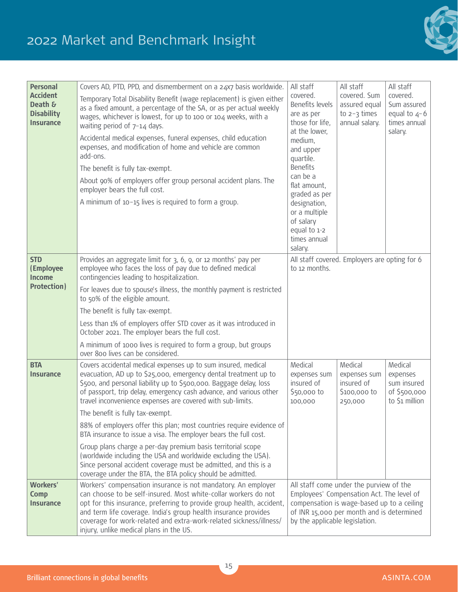# 2022 Market and Benchmark Insight



| <b>Personal</b><br><b>Accident</b><br>Death &<br><b>Disability</b><br><b>Insurance</b> | Covers AD, PTD, PPD, and dismemberment on a 24x7 basis worldwide.<br>Temporary Total Disability Benefit (wage replacement) is given either<br>as a fixed amount, a percentage of the SA, or as per actual weekly<br>wages, whichever is lowest, for up to 100 or 104 weeks, with a<br>waiting period of $7-14$ days.<br>Accidental medical expenses, funeral expenses, child education<br>expenses, and modification of home and vehicle are common                                                                                                                                                                                                                                                                                                                                            | All staff<br>covered.<br>Benefits levels<br>are as per<br>those for life,<br>at the lower,<br>medium,                                                                                                             | All staff<br>covered. Sum<br>assured equal<br>to $2-3$ times<br>annual salary. | All staff<br>covered.<br>Sum assured<br>equal to $4-6$<br>times annual<br>salary. |  |
|----------------------------------------------------------------------------------------|------------------------------------------------------------------------------------------------------------------------------------------------------------------------------------------------------------------------------------------------------------------------------------------------------------------------------------------------------------------------------------------------------------------------------------------------------------------------------------------------------------------------------------------------------------------------------------------------------------------------------------------------------------------------------------------------------------------------------------------------------------------------------------------------|-------------------------------------------------------------------------------------------------------------------------------------------------------------------------------------------------------------------|--------------------------------------------------------------------------------|-----------------------------------------------------------------------------------|--|
|                                                                                        | add-ons.<br>The benefit is fully tax-exempt.<br>About 90% of employers offer group personal accident plans. The<br>employer bears the full cost.<br>A minimum of $10-15$ lives is required to form a group.                                                                                                                                                                                                                                                                                                                                                                                                                                                                                                                                                                                    | and upper<br>quartile.<br><b>Benefits</b><br>can be a<br>flat amount,<br>graded as per<br>designation,<br>or a multiple<br>of salary<br>equal to 1-2<br>times annual<br>salary.                                   |                                                                                |                                                                                   |  |
| <b>STD</b><br>(Employee<br><b>Income</b><br><b>Protection)</b>                         | Provides an aggregate limit for 3, 6, 9, or 12 months' pay per<br>employee who faces the loss of pay due to defined medical<br>contingencies leading to hospitalization.<br>For leaves due to spouse's illness, the monthly payment is restricted<br>to 50% of the eligible amount.<br>The benefit is fully tax-exempt.<br>Less than 1% of employers offer STD cover as it was introduced in<br>October 2021. The employer bears the full cost.<br>A minimum of 1000 lives is required to form a group, but groups<br>over 800 lives can be considered.                                                                                                                                                                                                                                        | to 12 months.                                                                                                                                                                                                     | All staff covered. Employers are opting for 6                                  |                                                                                   |  |
| <b>BTA</b><br><b>Insurance</b>                                                         | Covers accidental medical expenses up to sum insured, medical<br>evacuation, AD up to \$25,000, emergency dental treatment up to<br>\$500, and personal liability up to \$500,000. Baggage delay, loss<br>of passport, trip delay, emergency cash advance, and various other<br>travel inconvenience expenses are covered with sub-limits.<br>The benefit is fully tax-exempt.<br>88% of employers offer this plan; most countries require evidence of<br>BTA insurance to issue a visa. The employer bears the full cost.<br>Group plans charge a per-day premium basis territorial scope<br>(worldwide including the USA and worldwide excluding the USA).<br>Since personal accident coverage must be admitted, and this is a<br>coverage under the BTA, the BTA policy should be admitted. | Medical<br>expenses sum<br>insured of<br>\$50,000 to<br>100,000                                                                                                                                                   | Medical<br>expenses sum<br>insured of<br>\$100,000 to<br>250,000               | Medical<br>expenses<br>sum insured<br>of \$500,000<br>to \$1 million              |  |
| <b>Workers'</b><br>Comp<br><b>Insurance</b>                                            | Workers' compensation insurance is not mandatory. An employer<br>can choose to be self-insured. Most white-collar workers do not<br>opt for this insurance, preferring to provide group health, accident,<br>and term life coverage. India's group health insurance provides<br>coverage for work-related and extra-work-related sickness/illness/<br>injury, unlike medical plans in the US.                                                                                                                                                                                                                                                                                                                                                                                                  | All staff come under the purview of the<br>Employees' Compensation Act. The level of<br>compensation is wage-based up to a ceiling<br>of INR 15,000 per month and is determined<br>by the applicable legislation. |                                                                                |                                                                                   |  |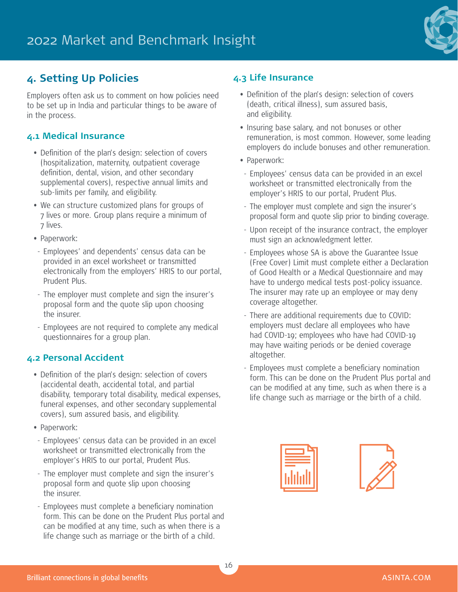

# **4. Setting Up Policies**

Employers often ask us to comment on how policies need to be set up in India and particular things to be aware of in the process.

### **4.1 Medical Insurance**

- Definition of the plan's design: selection of covers (hospitalization, maternity, outpatient coverage definition, dental, vision, and other secondary supplemental covers), respective annual limits and sub-limits per family, and eligibility.
- We can structure customized plans for groups of 7 lives or more. Group plans require a minimum of 7 lives.
- Paperwork:
- Employees' and dependents' census data can be provided in an excel worksheet or transmitted electronically from the employers' HRIS to our portal, Prudent Plus.
- The employer must complete and sign the insurer's proposal form and the quote slip upon choosing the insurer.
- Employees are not required to complete any medical questionnaires for a group plan.

### **4.2 Personal Accident**

- Definition of the plan's design: selection of covers (accidental death, accidental total, and partial disability, temporary total disability, medical expenses, funeral expenses, and other secondary supplemental covers), sum assured basis, and eligibility.
- Paperwork:
- Employees' census data can be provided in an excel worksheet or transmitted electronically from the employer's HRIS to our portal, Prudent Plus.
- The employer must complete and sign the insurer's proposal form and quote slip upon choosing the insurer.
- Employees must complete a beneficiary nomination form. This can be done on the Prudent Plus portal and can be modified at any time, such as when there is a life change such as marriage or the birth of a child.

### **4.3 Life Insurance**

- Definition of the plan's design: selection of covers (death, critical illness), sum assured basis, and eligibility.
- Insuring base salary, and not bonuses or other remuneration, is most common. However, some leading employers do include bonuses and other remuneration.
- Paperwork:
- Employees' census data can be provided in an excel worksheet or transmitted electronically from the employer's HRIS to our portal, Prudent Plus.
- The employer must complete and sign the insurer's proposal form and quote slip prior to binding coverage.
- Upon receipt of the insurance contract, the employer must sign an acknowledgment letter.
- Employees whose SA is above the Guarantee Issue (Free Cover) Limit must complete either a Declaration of Good Health or a Medical Questionnaire and may have to undergo medical tests post-policy issuance. The insurer may rate up an employee or may deny coverage altogether.
- There are additional requirements due to COVID: employers must declare all employees who have had COVID-19; employees who have had COVID-19 may have waiting periods or be denied coverage altogether.
- Employees must complete a beneficiary nomination form. This can be done on the Prudent Plus portal and can be modified at any time, such as when there is a life change such as marriage or the birth of a child.



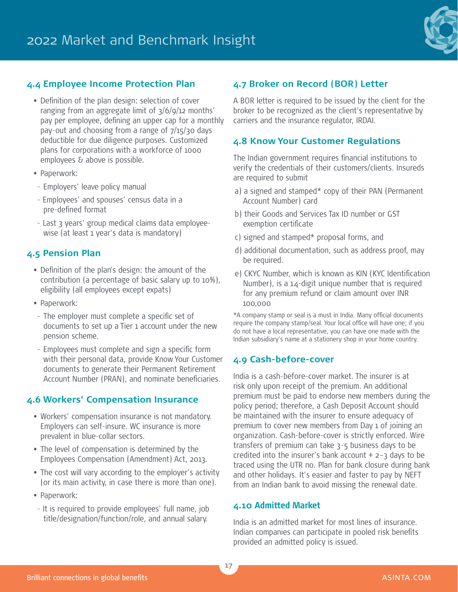

### **4.4 Employee Income Protection Plan**

- Definition of the plan design: selection of cover ranging from an aggregate limit of 3/6/9/12 months' pay per employee, defining an upper cap for a monthly pay-out and choosing from a range of  $7/15/30$  days deductible for due diligence purposes. Customized plans for corporations with a workforce of 1000 employees & above is possible.
- Paperwork:
- Employers' leave policy manual
- Employees' and spouses' census data in a pre-defined format
- Last 3 years' group medical claims data employeewise (at least 1 year's data is mandatory)

#### **4.5 Pension Plan**

- Definition of the plan's design: the amount of the contribution (a percentage of basic salary up to 10%), eligibility (all employees except expats)
- Paperwork:
- The employer must complete a specific set of documents to set up a Tier 1 account under the new pension scheme.
- Employees must complete and sign a specific form with their personal data, provide Know Your Customer documents to generate their Permanent Retirement Account Number (PRAN), and nominate beneficiaries.

#### **4.6 Workers' Compensation Insurance**

- Workers' compensation insurance is not mandatory. Employers can self-insure. WC insurance is more prevalent in blue-collar sectors.
- The level of compensation is determined by the Employees Compensation (Amendment) Act, 2013.
- The cost will vary according to the employer's activity (or its main activity, in case there is more than one).
- Paperwork:
- It is required to provide employees' full name, job title/designation/function/role, and annual salary.

#### **4.7 Broker on Record (BOR) Letter**

A BOR letter is required to be issued by the client for the broker to be recognized as the client's representative by carriers and the insurance regulator, IRDAI.

#### **4.8 Know Your Customer Regulations**

The Indian government requires financial institutions to verify the credentials of their customers/clients. Insureds are required to submit

- a) a signed and stamped\* copy of their PAN (Permanent Account Number) card
- b) their Goods and Services Tax ID number or GST exemption certificate
- c) signed and stamped\* proposal forms, and
- d) additional documentation, such as address proof, may be required.
- e) CKYC Number, which is known as KIN (KYC Identification Number), is a 14-digit unique number that is required for any premium refund or claim amount over INR 100,000

\*A company stamp or seal is a must in India. Many official documents require the company stamp/seal. Your local office will have one; if you do not have a local representative, you can have one made with the Indian subsidiary's name at a stationery shop in your home country.

#### **4.9 Cash-before-cover**

India is a cash-before-cover market. The insurer is at risk only upon receipt of the premium. An additional premium must be paid to endorse new members during the policy period; therefore, a Cash Deposit Account should be maintained with the insurer to ensure adequacy of premium to cover new members from Day 1 of joining an organization. Cash-before-cover is strictly enforced. Wire transfers of premium can take 3-5 business days to be credited into the insurer's bank account  $+$  2-3 days to be traced using the UTR no. Plan for bank closure during bank and other holidays. It's easier and faster to pay by NEFT from an Indian bank to avoid missing the renewal date.

#### **4.10 Admitted Market**

India is an admitted market for most lines of insurance. Indian companies can participate in pooled risk benefits provided an admitted policy is issued.